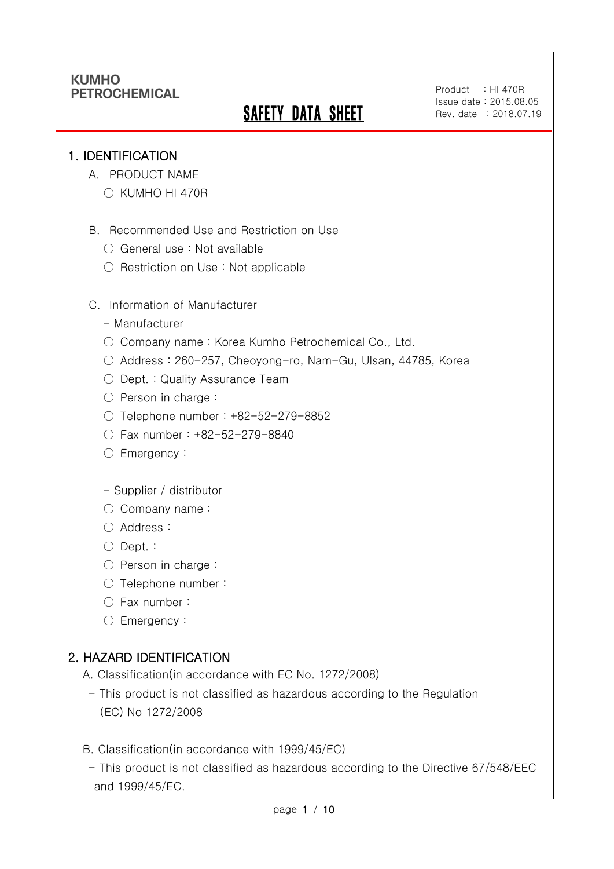# **SAFETY DATA SHEET**

Product : HI 470R Issue date : 2015.08.05 Rev. date : 2018.07.19

#### 1. IDENTIFICATION

Ī

- A. PRODUCT NAME
	- KUMHO HI 470R
- B. Recommended Use and Restriction on Use
	- General use : Not available
	- Restriction on Use : Not applicable
- C. Information of Manufacturer
	- Manufacturer
	- Company name: Korea Kumho Petrochemical Co., Ltd.
	- Address : 260-257, Cheoyong-ro, Nam-Gu, Ulsan, 44785, Korea
	- Dept. : Quality Assurance Team
	- Person in charge :
	- Telephone number : +82-52-279-8852
	- Fax number : +82-52-279-8840
	- Emergency:
	- Supplier / distributor
	- Company name:
	- Address :
	- Dept. :
	- Person in charge :
	- Telephone number :
	- Fax number :
	- Emergency:

## 2. HAZARD IDENTIFICATION

- A. Classification(in accordance with EC No. 1272/2008)
	- This product is not classified as hazardous according to the Regulation (EC) No 1272/2008
- B. Classification(in accordance with 1999/45/EC)
- This product is not classified as hazardous according to the Directive 67/548/EEC and 1999/45/EC.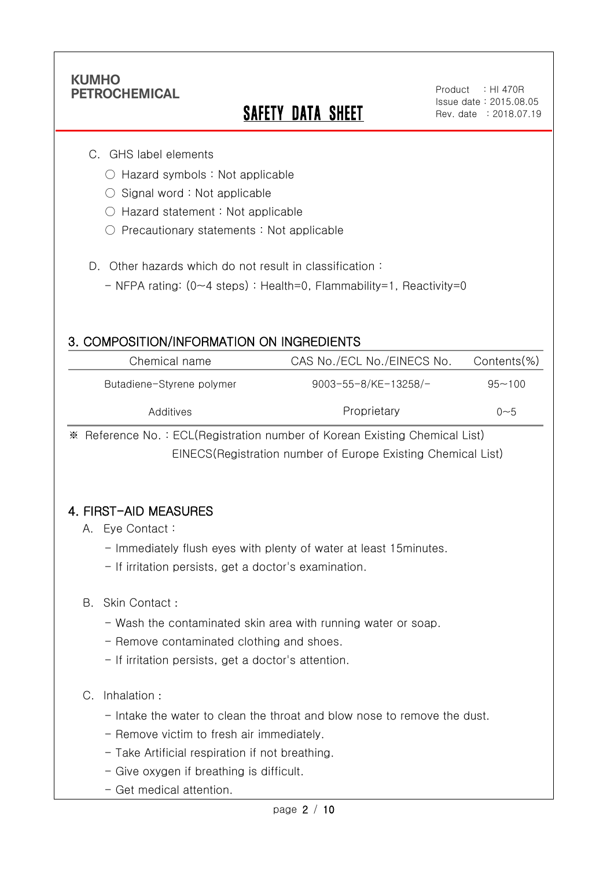Ī

# **SAFETY DATA SHEET**

#### C. GHS label elements

- Hazard symbols : Not applicable
- $\bigcirc$  Signal word : Not applicable
- Hazard statement : Not applicable
- Precautionary statements : Not applicable
- D. Other hazards which do not result in classification:
	- NFPA rating: (0~4 steps) : Health=0, Flammability=1, Reactivity=0

### 3. COMPOSITION/INFORMATION ON INGREDIENTS

| Chemical name             | CAS No./ECL No./EINECS No. | Contents(%) |
|---------------------------|----------------------------|-------------|
| Butadiene-Styrene polymer | 9003-55-8/KE-13258/-       | $95 - 100$  |
| Additives                 | Proprietary                | ი~5         |

※ Reference No. : ECL(Registration number of Korean Existing Chemical List) EINECS(Registration number of Europe Existing Chemical List)

### 4. FIRST-AID MEASURES

#### A. Eye Contact :

- Immediately flush eyes with plenty of water at least 15minutes.
- If irritation persists, get a doctor's examination.

#### B. Skin Contact :

- Wash the contaminated skin area with running water or soap.
- Remove contaminated clothing and shoes.
- If irritation persists, get a doctor's attention.

#### C. Inhalation :

- Intake the water to clean the throat and blow nose to remove the dust.
- Remove victim to fresh air immediately.
- Take Artificial respiration if not breathing.
- Give oxygen if breathing is difficult.
- Get medical attention.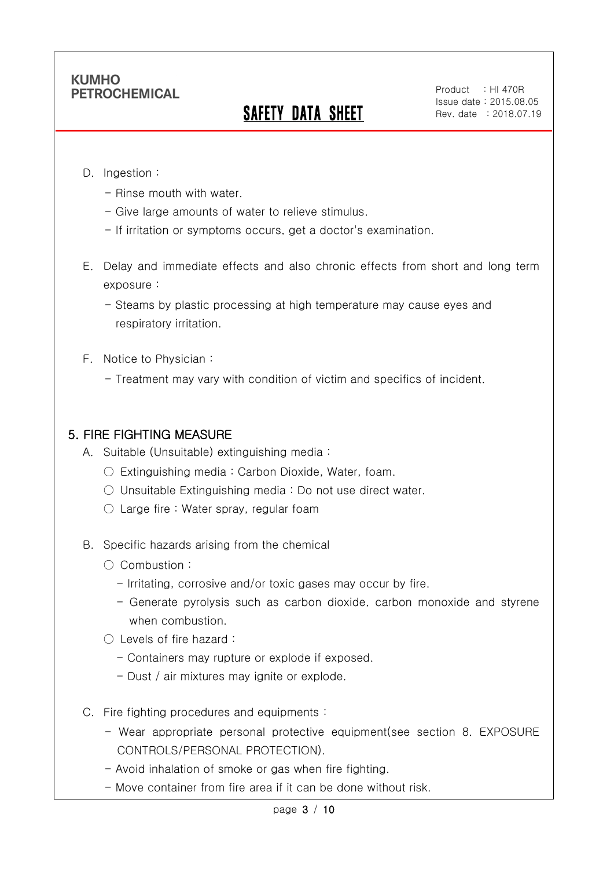# SAFETY DATA SHEET

Product : HI 470R Issue date : 2015.08.05 Rev. date : 2018.07.19

D. Ingestion :

Ī

- Rinse mouth with water.
- Give large amounts of water to relieve stimulus.
- If irritation or symptoms occurs, get a doctor's examination.
- E. Delay and immediate effects and also chronic effects from short and long term exposure :

- Steams by plastic processing at high temperature may cause eyes and respiratory irritation.

- F. Notice to Physician :
	- Treatment may vary with condition of victim and specifics of incident.

#### 5. FIRE FIGHTING MEASURE

- A. Suitable (Unsuitable) extinguishing media :
	- $\bigcirc$  Extinguishing media : Carbon Dioxide, Water, foam.
	- Unsuitable Extinguishing media : Do not use direct water.
	- $\circlearrowright$  Large fire : Water spray, regular foam
- B. Specific hazards arising from the chemical
	- Combustion :
		- Irritating, corrosive and/or toxic gases may occur by fire.
		- Generate pyrolysis such as carbon dioxide, carbon monoxide and styrene when combustion.
	- Levels of fire hazard :
		- Containers may rupture or explode if exposed.
		- Dust / air mixtures may ignite or explode.
- C. Fire fighting procedures and equipments :
	- Wear appropriate personal protective equipment(see section 8. EXPOSURE CONTROLS/PERSONAL PROTECTION).
	- Avoid inhalation of smoke or gas when fire fighting.
	- Move container from fire area if it can be done without risk.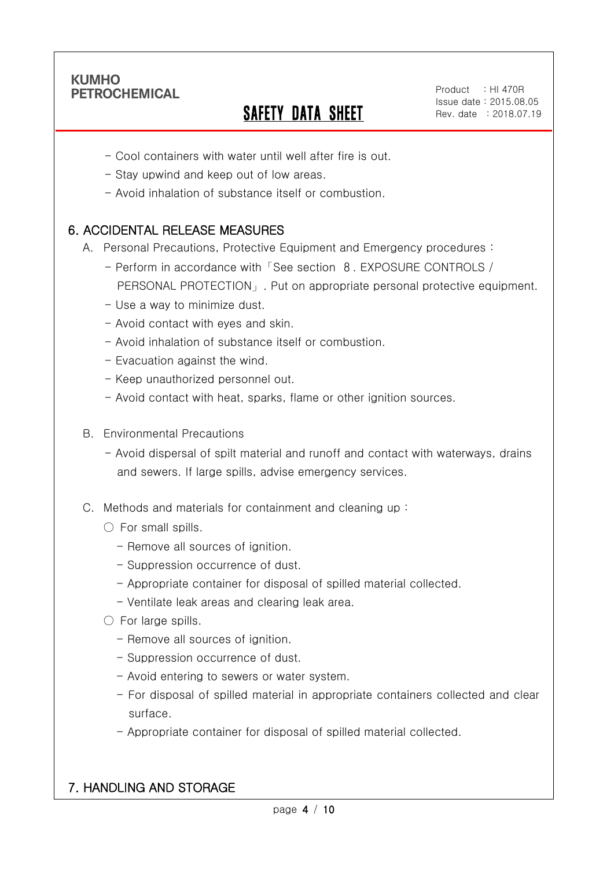Ī

# SAFETY DATA SHEET

Product : HI 470R Issue date : 2015.08.05 Rev. date : 2018.07.19

- Cool containers with water until well after fire is out.
- Stay upwind and keep out of low areas.
- Avoid inhalation of substance itself or combustion.

## 6. ACCIDENTAL RELEASE MEASURES

- A. Personal Precautions, Protective Equipment and Emergency procedures :
	- Perform in accordance with「See section 8. EXPOSURE CONTROLS / PERSONAL PROTECTION」. Put on appropriate personal protective equipment.
	- Use a way to minimize dust.
	- Avoid contact with eyes and skin.
	- Avoid inhalation of substance itself or combustion.
	- Evacuation against the wind.
	- Keep unauthorized personnel out.
	- Avoid contact with heat, sparks, flame or other ignition sources.
- B. Environmental Precautions
	- Avoid dispersal of spilt material and runoff and contact with waterways, drains and sewers. If large spills, advise emergency services.
- C. Methods and materials for containment and cleaning up :
	- $\bigcirc$  For small spills.
		- Remove all sources of ignition.
		- Suppression occurrence of dust.
		- Appropriate container for disposal of spilled material collected.
		- Ventilate leak areas and clearing leak area.
	- For large spills.
		- Remove all sources of ignition.
		- Suppression occurrence of dust.
		- Avoid entering to sewers or water system.
		- For disposal of spilled material in appropriate containers collected and clear surface.
		- Appropriate container for disposal of spilled material collected.

### 7. HANDLING AND STORAGE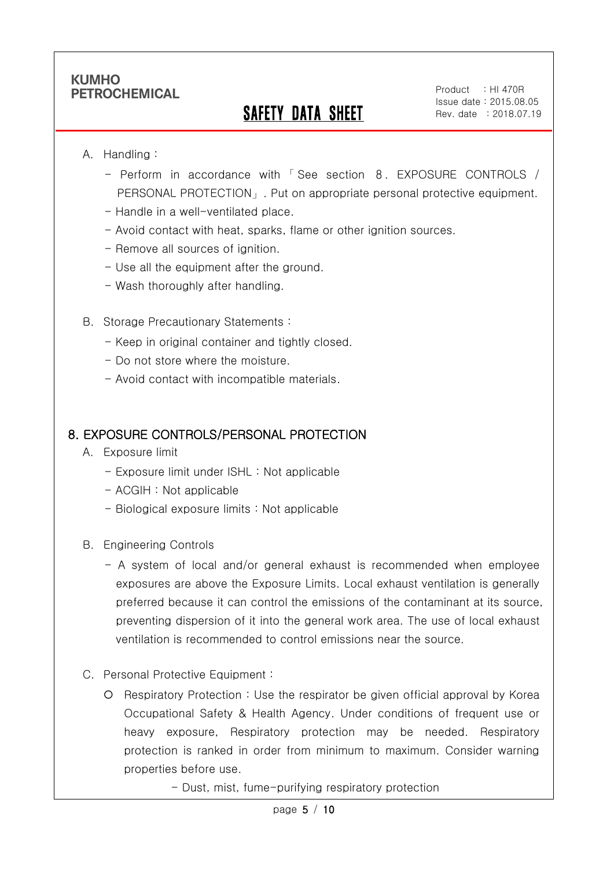## SAFETY DATA SHEET

#### A. Handling :

Ī

- Perform in accordance with 「 See section 8. EXPOSURE CONTROLS / PERSONAL PROTECTION」. Put on appropriate personal protective equipment.
- Handle in a well-ventilated place.
- Avoid contact with heat, sparks, flame or other ignition sources.
- Remove all sources of ignition.
- Use all the equipment after the ground.
- Wash thoroughly after handling.
- B. Storage Precautionary Statements :
	- Keep in original container and tightly closed.
	- Do not store where the moisture.
	- Avoid contact with incompatible materials.

#### 8. EXPOSURE CONTROLS/PERSONAL PROTECTION

- A. Exposure limit
	- Exposure limit under ISHL : Not applicable
	- ACGIH : Not applicable
	- Biological exposure limits : Not applicable
- B. Engineering Controls
	- A system of local and/or general exhaust is recommended when employee exposures are above the Exposure Limits. Local exhaust ventilation is generally preferred because it can control the emissions of the contaminant at its source, preventing dispersion of it into the general work area. The use of local exhaust ventilation is recommended to control emissions near the source.
- C. Personal Protective Equipment :
	- Respiratory Protection : Use the respirator be given official approval by Korea Occupational Safety & Health Agency. Under conditions of frequent use or heavy exposure, Respiratory protection may be needed. Respiratory protection is ranked in order from minimum to maximum. Consider warning properties before use.
		- Dust, mist, fume-purifying respiratory protection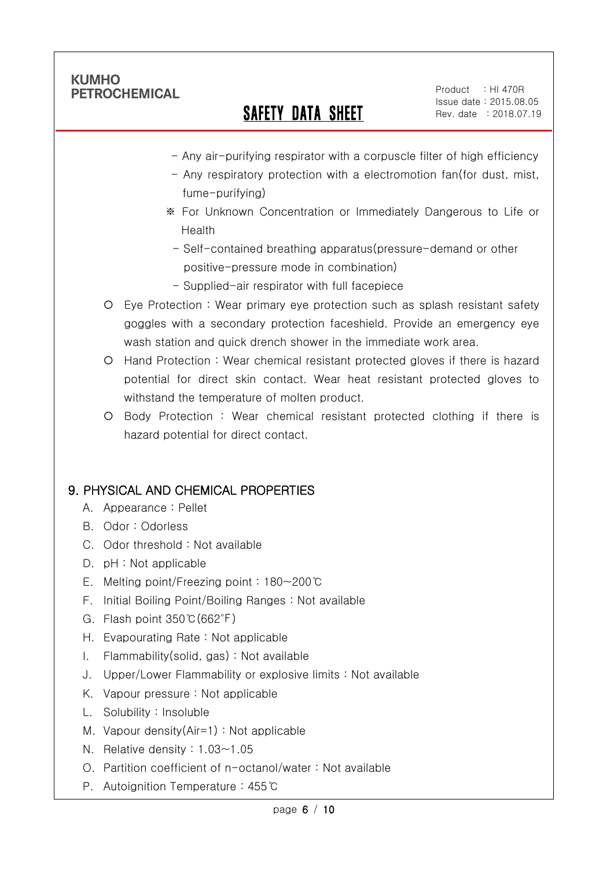Ī

## SAFETY DATA SHEET

Product : HI 470R Issue date : 2015.08.05 Rev. date : 2018.07.19

- Any air-purifying respirator with a corpuscle filter of high efficiency
- Any respiratory protection with a electromotion fan(for dust, mist, fume-purifying)
- ※ For Unknown Concentration or Immediately Dangerous to Life or Health
- Self-contained breathing apparatus(pressure-demand or other positive-pressure mode in combination)
- Supplied-air respirator with full facepiece
- Eye Protection : Wear primary eye protection such as splash resistant safety goggles with a secondary protection faceshield. Provide an emergency eye wash station and quick drench shower in the immediate work area.
- Hand Protection : Wear chemical resistant protected gloves if there is hazard potential for direct skin contact. Wear heat resistant protected gloves to withstand the temperature of molten product.
- Body Protection : Wear chemical resistant protected clothing if there is hazard potential for direct contact.

## 9. PHYSICAL AND CHEMICAL PROPERTIES

- A. Appearance : Pellet
- B. Odor : Odorless
- C. Odor threshold : Not available
- D. pH : Not applicable
- E. Melting point/Freezing point : 180~200℃
- F. Initial Boiling Point/Boiling Ranges : Not available
- G. Flash point 350℃(662℉)
- H. Evapourating Rate : Not applicable
- I. Flammability(solid, gas) : Not available
- J. Upper/Lower Flammability or explosive limits : Not available
- K. Vapour pressure : Not applicable
- L. Solubility : Insoluble
- M. Vapour density(Air=1) : Not applicable
- N. Relative density : 1.03~1.05
- O. Partition coefficient of n-octanol/water : Not available
- P. Autoignition Temperature : 455℃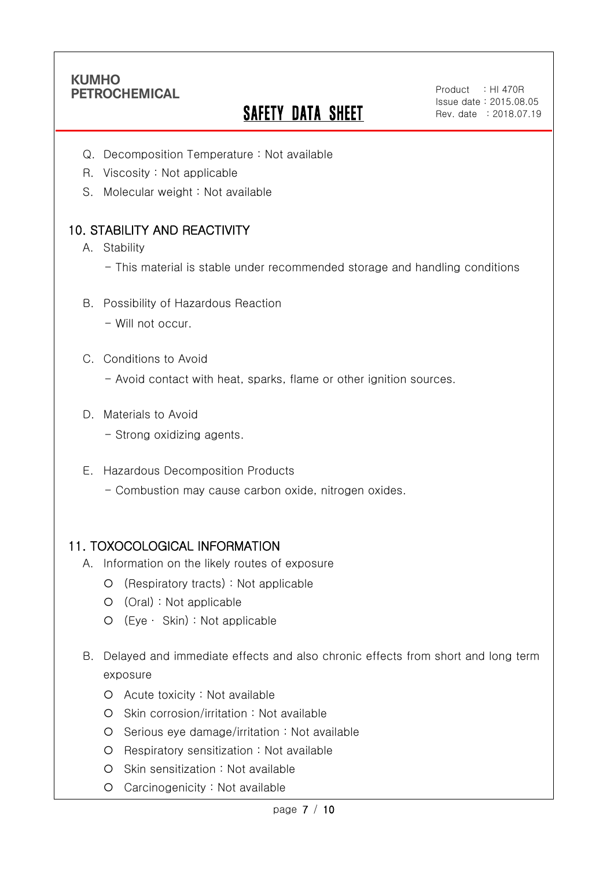Ī

# **SAFETY DATA SHEET**

Product : HI 470R Issue date : 2015.08.05 Rev. date : 2018.07.19

- Q. Decomposition Temperature : Not available
- R. Viscosity : Not applicable
- S. Molecular weight : Not available

## 10. STABILITY AND REACTIVITY

- A. Stability
	- This material is stable under recommended storage and handling conditions
- B. Possibility of Hazardous Reaction
	- Will not occur.
- C. Conditions to Avoid
	- Avoid contact with heat, sparks, flame or other ignition sources.
- D. Materials to Avoid
	- Strong oxidizing agents.
- E. Hazardous Decomposition Products
	- Combustion may cause carbon oxide, nitrogen oxides.

#### 11. TOXOCOLOGICAL INFORMATION

- A. Information on the likely routes of exposure
	- (Respiratory tracts) : Not applicable
	- (Oral) : Not applicable
	- (Eye ∙ Skin) : Not applicable
- B. Delayed and immediate effects and also chronic effects from short and long term exposure
	- Acute toxicity : Not available
	- Skin corrosion/irritation : Not available
	- Serious eye damage/irritation : Not available
	- O Respiratory sensitization : Not available
	- O Skin sensitization : Not available
	- Carcinogenicity : Not available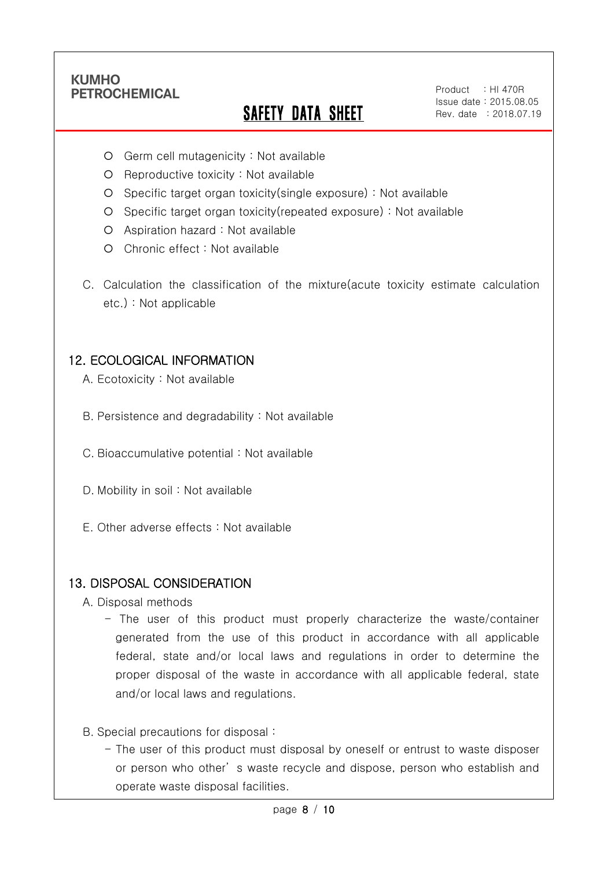Ī

# SAFETY DATA SHEET

Product : HI 470R Issue date : 2015.08.05 Rev. date : 2018.07.19

- Germ cell mutagenicity : Not available
- $O$  Reproductive toxicity : Not available
- Specific target organ toxicity(single exposure) : Not available
- Specific target organ toxicity(repeated exposure) : Not available
- Aspiration hazard : Not available
- O Chronic effect : Not available
- C. Calculation the classification of the mixture(acute toxicity estimate calculation etc.) : Not applicable

#### 12. ECOLOGICAL INFORMATION

- A. Ecotoxicity : Not available
- B. Persistence and degradability : Not available
- C. Bioaccumulative potential : Not available
- D. Mobility in soil : Not available
- E. Other adverse effects : Not available

#### 13. DISPOSAL CONSIDERATION

- A. Disposal methods
	- The user of this product must properly characterize the waste/container generated from the use of this product in accordance with all applicable federal, state and/or local laws and regulations in order to determine the proper disposal of the waste in accordance with all applicable federal, state and/or local laws and regulations.
- B. Special precautions for disposal :
	- The user of this product must disposal by oneself or entrust to waste disposer or person who other' s waste recycle and dispose, person who establish and operate waste disposal facilities.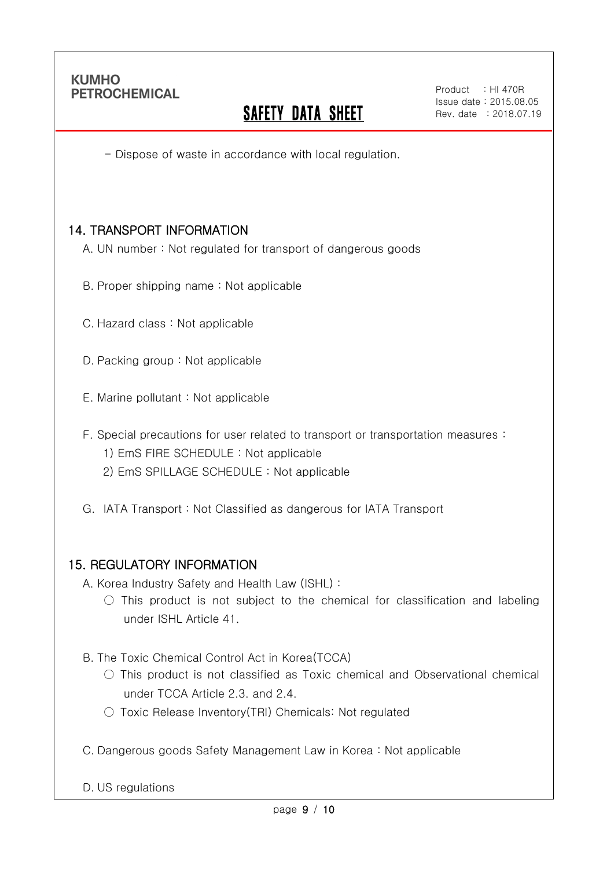Ī

## **SAFETY DATA SHEET**

- Dispose of waste in accordance with local regulation.

### 14. TRANSPORT INFORMATION

- A. UN number : Not regulated for transport of dangerous goods
- B. Proper shipping name : Not applicable
- C. Hazard class : Not applicable
- D. Packing group : Not applicable
- E. Marine pollutant : Not applicable
- F. Special precautions for user related to transport or transportation measures :
	- 1) EmS FIRE SCHEDULE : Not applicable
	- 2) EmS SPILLAGE SCHEDULE : Not applicable
- G. IATA Transport : Not Classified as dangerous for IATA Transport

#### 15. REGULATORY INFORMATION

- A. Korea Industry Safety and Health Law (ISHL) :
	- $\circ$  This product is not subject to the chemical for classification and labeling under ISHL Article 41.
- B. The Toxic Chemical Control Act in Korea(TCCA)
	- $\bigcirc$  This product is not classified as Toxic chemical and Observational chemical under TCCA Article 2.3. and 2.4.
	- Toxic Release Inventory(TRI) Chemicals: Not regulated
- C. Dangerous goods Safety Management Law in Korea : Not applicable

D. US regulations